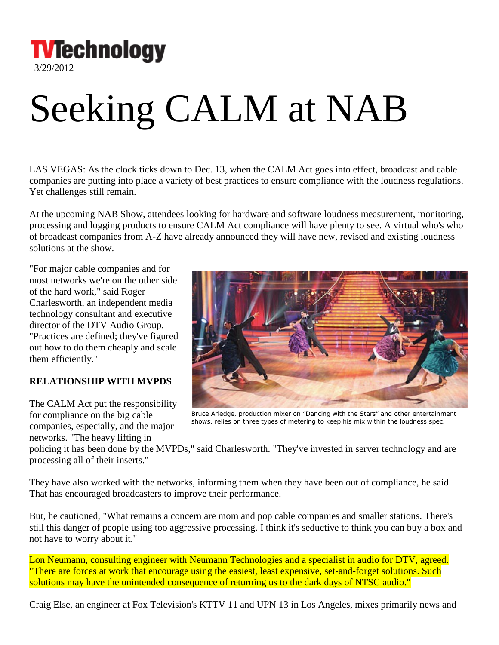**TVTechnology** 

3/29/2012

## Seeking CALM at NAB

LAS VEGAS: As the clock ticks down to Dec. 13, when the CALM Act goes into effect, broadcast and cable companies are putting into place a variety of best practices to ensure compliance with the loudness regulations. Yet challenges still remain.

At the upcoming NAB Show, attendees looking for hardware and software loudness measurement, monitoring, processing and logging products to ensure CALM Act compliance will have plenty to see. A virtual who's who of broadcast companies from A-Z have already announced they will have new, revised and existing loudness solutions at the show.

"For major cable companies and for most networks we're on the other side of the hard work," said Roger Charlesworth, an independent media technology consultant and executive director of the DTV Audio Group. "Practices are defined; they've figured out how to do them cheaply and scale them efficiently."

## **RELATIONSHIP WITH MVPDS**

The CALM Act put the responsibility for compliance on the big cable companies, especially, and the major networks. "The heavy lifting in



*Bruce Arledge, production mixer on "Dancing with the Stars" and other entertainment shows, relies on three types of metering to keep his mix within the loudness spec.* 

policing it has been done by the MVPDs," said Charlesworth. "They've invested in server technology and are processing all of their inserts."

They have also worked with the networks, informing them when they have been out of compliance, he said. That has encouraged broadcasters to improve their performance.

But, he cautioned, "What remains a concern are mom and pop cable companies and smaller stations. There's still this danger of people using too aggressive processing. I think it's seductive to think you can buy a box and not have to worry about it."

Lon Neumann, consulting engineer with Neumann Technologies and a specialist in audio for DTV, agreed. "There are forces at work that encourage using the easiest, least expensive, set-and-forget solutions. Such solutions may have the unintended consequence of returning us to the dark days of NTSC audio."

Craig Else, an engineer at Fox Television's KTTV 11 and UPN 13 in Los Angeles, mixes primarily news and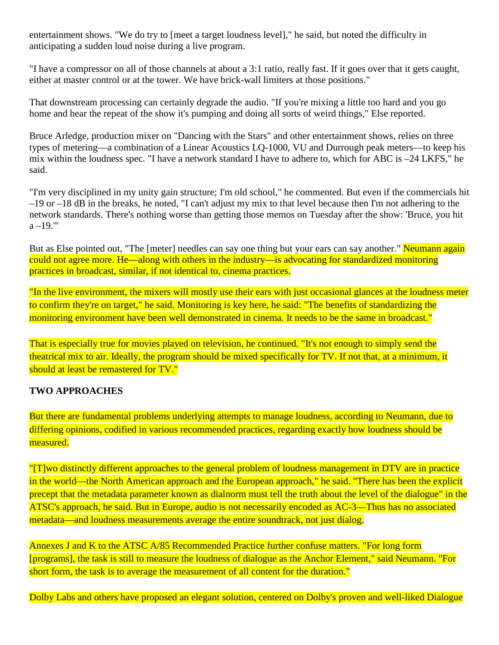entertainment shows. "We do try to [meet a target loudness level]," he said, but noted the difficulty in anticipating a sudden loud noise during a live program.

"I have a compressor on all of those channels at about a 3:1 ratio, really fast. If it goes over that it gets caught, either at master control or at the tower. We have brick-wall limiters at those positions."

That downstream processing can certainly degrade the audio. "If you're mixing a little too hard and you go home and hear the repeat of the show it's pumping and doing all sorts of weird things," Else reported.

Bruce Arledge, production mixer on "Dancing with the Stars" and other entertainment shows, relies on three types of metering—a combination of a Linear Acoustics LQ-1000, VU and Durrough peak meters—to keep his mix within the loudness spec. "I have a network standard I have to adhere to, which for ABC is –24 LKFS," he said.

"I'm very disciplined in my unity gain structure; I'm old school," he commented. But even if the commercials hit –19 or –18 dB in the breaks, he noted, "I can't adjust my mix to that level because then I'm not adhering to the network standards. There's nothing worse than getting those memos on Tuesday after the show: 'Bruce, you hit  $a - 19."$ 

But as Else pointed out, "The [meter] needles can say one thing but your ears can say another." Neumann again could not agree more. He—along with others in the industry—is advocating for standardized monitoring practices in broadcast, similar, if not identical to, cinema practices.

"In the live environment, the mixers will mostly use their ears with just occasional glances at the loudness meter to confirm they're on target," he said. Monitoring is key here, he said: "The benefits of standardizing the monitoring environment have been well demonstrated in cinema. It needs to be the same in broadcast."

That is especially true for movies played on television, he continued. "It's not enough to simply send the theatrical mix to air. Ideally, the program should be mixed specifically for TV. If not that, at a minimum, it should at least be remastered for TV."

## **TWO APPROACHES**

But there are fundamental problems underlying attempts to manage loudness, according to Neumann, due to differing opinions, codified in various recommended practices, regarding exactly how loudness should be measured.

"[T]wo distinctly different approaches to the general problem of loudness management in DTV are in practice in the world—the North American approach and the European approach," he said. "There has been the explicit precept that the metadata parameter known as dialnorm must tell the truth about the level of the dialogue" in the ATSC's approach, he said. But in Europe, audio is not necessarily encoded as AC-3—Thus has no associated metadata—and loudness measurements average the entire soundtrack, not just dialog.

Annexes J and K to the ATSC A/85 Recommended Practice further confuse matters. "For long form [programs], the task is still to measure the loudness of dialogue as the Anchor Element," said Neumann. "For short form, the task is to average the measurement of all content for the duration."

Dolby Labs and others have proposed an elegant solution, centered on Dolby's proven and well-liked Dialogue